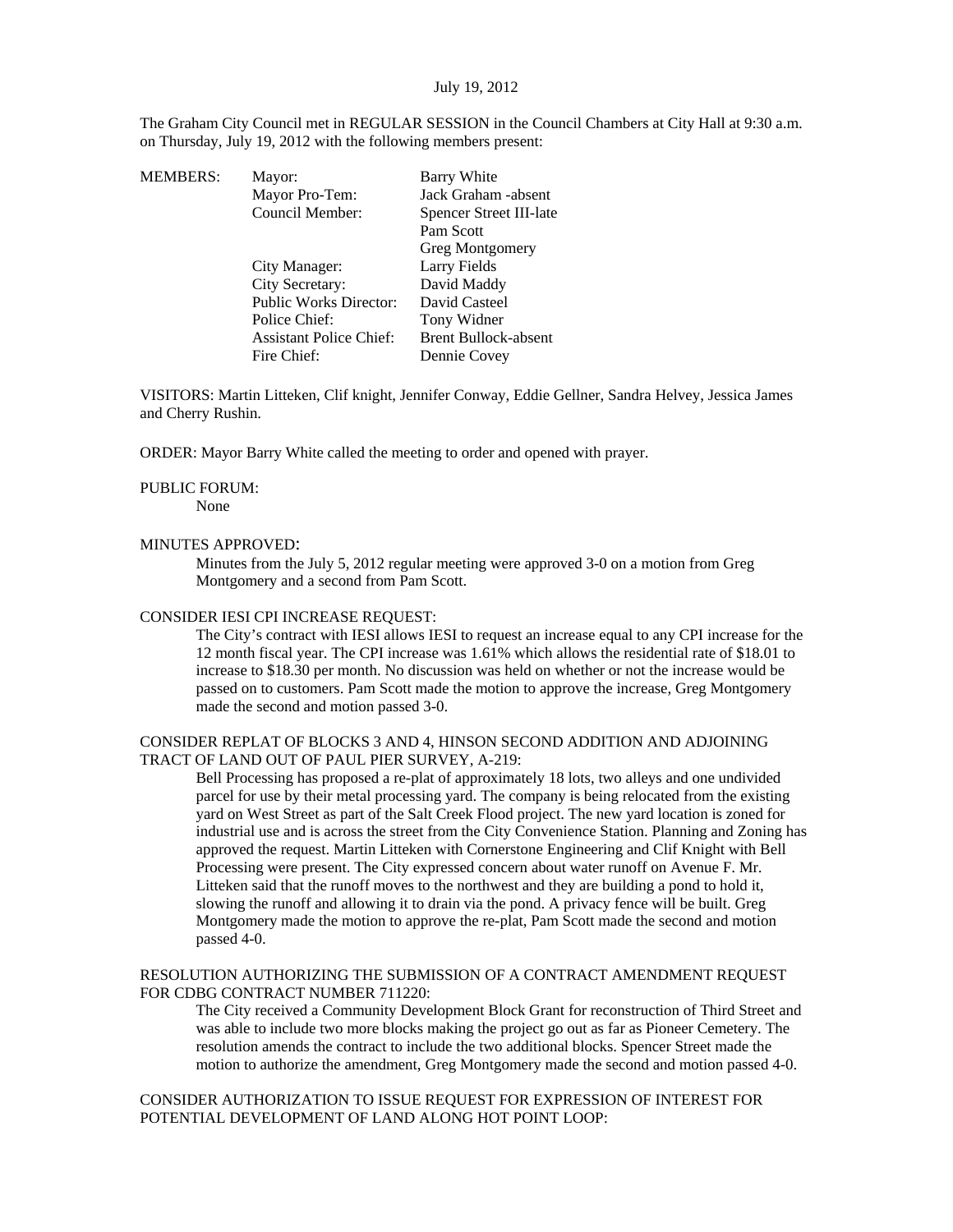The Graham City Council met in REGULAR SESSION in the Council Chambers at City Hall at 9:30 a.m. on Thursday, July 19, 2012 with the following members present:

| <b>MEMBERS:</b> | Mayor:                         | Barry White                 |
|-----------------|--------------------------------|-----------------------------|
|                 | Mayor Pro-Tem:                 | Jack Graham -absent         |
|                 | Council Member:                | Spencer Street III-late     |
|                 |                                | Pam Scott                   |
|                 |                                | <b>Greg Montgomery</b>      |
|                 | City Manager:                  | Larry Fields                |
|                 | City Secretary:                | David Maddy                 |
|                 | <b>Public Works Director:</b>  | David Casteel               |
|                 | Police Chief:                  | Tony Widner                 |
|                 | <b>Assistant Police Chief:</b> | <b>Brent Bullock-absent</b> |
|                 | Fire Chief:                    | Dennie Covey                |
|                 |                                |                             |

VISITORS: Martin Litteken, Clif knight, Jennifer Conway, Eddie Gellner, Sandra Helvey, Jessica James and Cherry Rushin.

ORDER: Mayor Barry White called the meeting to order and opened with prayer.

#### PUBLIC FORUM:

None

#### MINUTES APPROVED:

Minutes from the July 5, 2012 regular meeting were approved 3-0 on a motion from Greg Montgomery and a second from Pam Scott.

# CONSIDER IESI CPI INCREASE REQUEST:

The City's contract with IESI allows IESI to request an increase equal to any CPI increase for the 12 month fiscal year. The CPI increase was 1.61% which allows the residential rate of \$18.01 to increase to \$18.30 per month. No discussion was held on whether or not the increase would be passed on to customers. Pam Scott made the motion to approve the increase, Greg Montgomery made the second and motion passed 3-0.

### CONSIDER REPLAT OF BLOCKS 3 AND 4, HINSON SECOND ADDITION AND ADJOINING TRACT OF LAND OUT OF PAUL PIER SURVEY, A-219:

Bell Processing has proposed a re-plat of approximately 18 lots, two alleys and one undivided parcel for use by their metal processing yard. The company is being relocated from the existing yard on West Street as part of the Salt Creek Flood project. The new yard location is zoned for industrial use and is across the street from the City Convenience Station. Planning and Zoning has approved the request. Martin Litteken with Cornerstone Engineering and Clif Knight with Bell Processing were present. The City expressed concern about water runoff on Avenue F. Mr. Litteken said that the runoff moves to the northwest and they are building a pond to hold it, slowing the runoff and allowing it to drain via the pond. A privacy fence will be built. Greg Montgomery made the motion to approve the re-plat, Pam Scott made the second and motion passed 4-0.

# RESOLUTION AUTHORIZING THE SUBMISSION OF A CONTRACT AMENDMENT REQUEST FOR CDBG CONTRACT NUMBER 711220:

The City received a Community Development Block Grant for reconstruction of Third Street and was able to include two more blocks making the project go out as far as Pioneer Cemetery. The resolution amends the contract to include the two additional blocks. Spencer Street made the motion to authorize the amendment, Greg Montgomery made the second and motion passed 4-0.

CONSIDER AUTHORIZATION TO ISSUE REQUEST FOR EXPRESSION OF INTEREST FOR POTENTIAL DEVELOPMENT OF LAND ALONG HOT POINT LOOP: